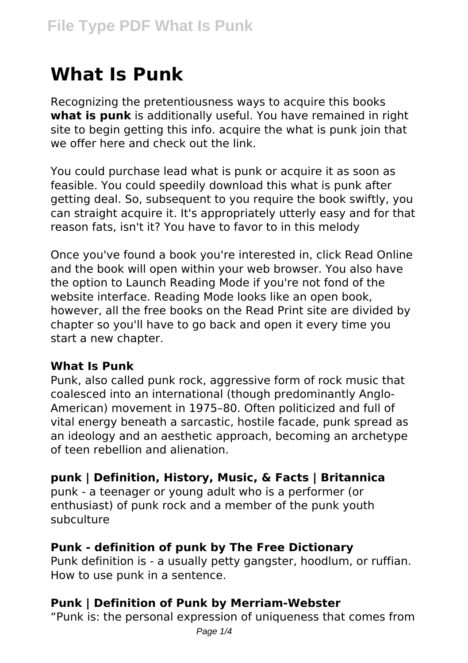# **What Is Punk**

Recognizing the pretentiousness ways to acquire this books **what is punk** is additionally useful. You have remained in right site to begin getting this info. acquire the what is punk join that we offer here and check out the link.

You could purchase lead what is punk or acquire it as soon as feasible. You could speedily download this what is punk after getting deal. So, subsequent to you require the book swiftly, you can straight acquire it. It's appropriately utterly easy and for that reason fats, isn't it? You have to favor to in this melody

Once you've found a book you're interested in, click Read Online and the book will open within your web browser. You also have the option to Launch Reading Mode if you're not fond of the website interface. Reading Mode looks like an open book, however, all the free books on the Read Print site are divided by chapter so you'll have to go back and open it every time you start a new chapter.

## **What Is Punk**

Punk, also called punk rock, aggressive form of rock music that coalesced into an international (though predominantly Anglo-American) movement in 1975–80. Often politicized and full of vital energy beneath a sarcastic, hostile facade, punk spread as an ideology and an aesthetic approach, becoming an archetype of teen rebellion and alienation.

**punk | Definition, History, Music, & Facts | Britannica**

punk - a teenager or young adult who is a performer (or enthusiast) of punk rock and a member of the punk youth subculture

## **Punk - definition of punk by The Free Dictionary**

Punk definition is - a usually petty gangster, hoodlum, or ruffian. How to use punk in a sentence.

## **Punk | Definition of Punk by Merriam-Webster**

"Punk is: the personal expression of uniqueness that comes from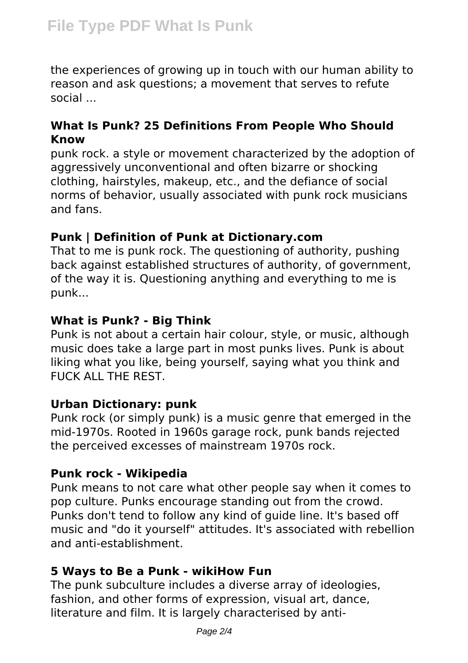the experiences of growing up in touch with our human ability to reason and ask questions; a movement that serves to refute social ...

## **What Is Punk? 25 Definitions From People Who Should Know**

punk rock. a style or movement characterized by the adoption of aggressively unconventional and often bizarre or shocking clothing, hairstyles, makeup, etc., and the defiance of social norms of behavior, usually associated with punk rock musicians and fans.

#### **Punk | Definition of Punk at Dictionary.com**

That to me is punk rock. The questioning of authority, pushing back against established structures of authority, of government, of the way it is. Questioning anything and everything to me is punk...

## **What is Punk? - Big Think**

Punk is not about a certain hair colour, style, or music, although music does take a large part in most punks lives. Punk is about liking what you like, being yourself, saying what you think and FUCK ALL THE REST.

#### **Urban Dictionary: punk**

Punk rock (or simply punk) is a music genre that emerged in the mid-1970s. Rooted in 1960s garage rock, punk bands rejected the perceived excesses of mainstream 1970s rock.

## **Punk rock - Wikipedia**

Punk means to not care what other people say when it comes to pop culture. Punks encourage standing out from the crowd. Punks don't tend to follow any kind of guide line. It's based off music and "do it yourself" attitudes. It's associated with rebellion and anti-establishment.

#### **5 Ways to Be a Punk - wikiHow Fun**

The punk subculture includes a diverse array of ideologies, fashion, and other forms of expression, visual art, dance, literature and film. It is largely characterised by anti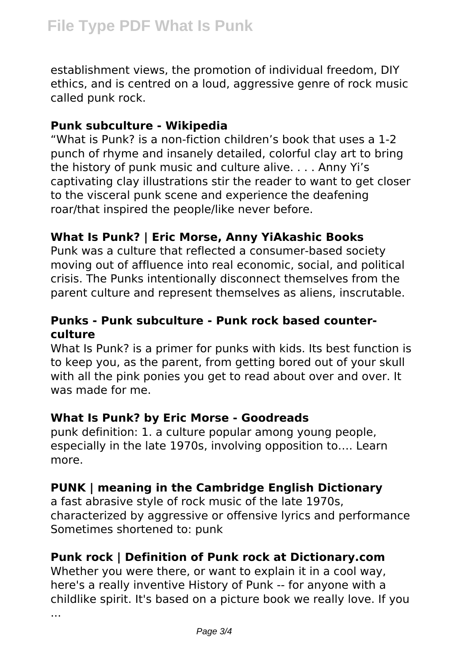establishment views, the promotion of individual freedom, DIY ethics, and is centred on a loud, aggressive genre of rock music called punk rock.

#### **Punk subculture - Wikipedia**

"What is Punk? is a non-fiction children's book that uses a 1-2 punch of rhyme and insanely detailed, colorful clay art to bring the history of punk music and culture alive. . . . Anny Yi's captivating clay illustrations stir the reader to want to get closer to the visceral punk scene and experience the deafening roar/that inspired the people/like never before.

## **What Is Punk? | Eric Morse, Anny YiAkashic Books**

Punk was a culture that reflected a consumer-based society moving out of affluence into real economic, social, and political crisis. The Punks intentionally disconnect themselves from the parent culture and represent themselves as aliens, inscrutable.

## **Punks - Punk subculture - Punk rock based counterculture**

What Is Punk? is a primer for punks with kids. Its best function is to keep you, as the parent, from getting bored out of your skull with all the pink ponies you get to read about over and over. It was made for me.

## **What Is Punk? by Eric Morse - Goodreads**

punk definition: 1. a culture popular among young people, especially in the late 1970s, involving opposition to…. Learn more.

## **PUNK | meaning in the Cambridge English Dictionary**

a fast abrasive style of rock music of the late 1970s, characterized by aggressive or offensive lyrics and performance Sometimes shortened to: punk

# **Punk rock | Definition of Punk rock at Dictionary.com**

Whether you were there, or want to explain it in a cool way, here's a really inventive History of Punk -- for anyone with a childlike spirit. It's based on a picture book we really love. If you

...